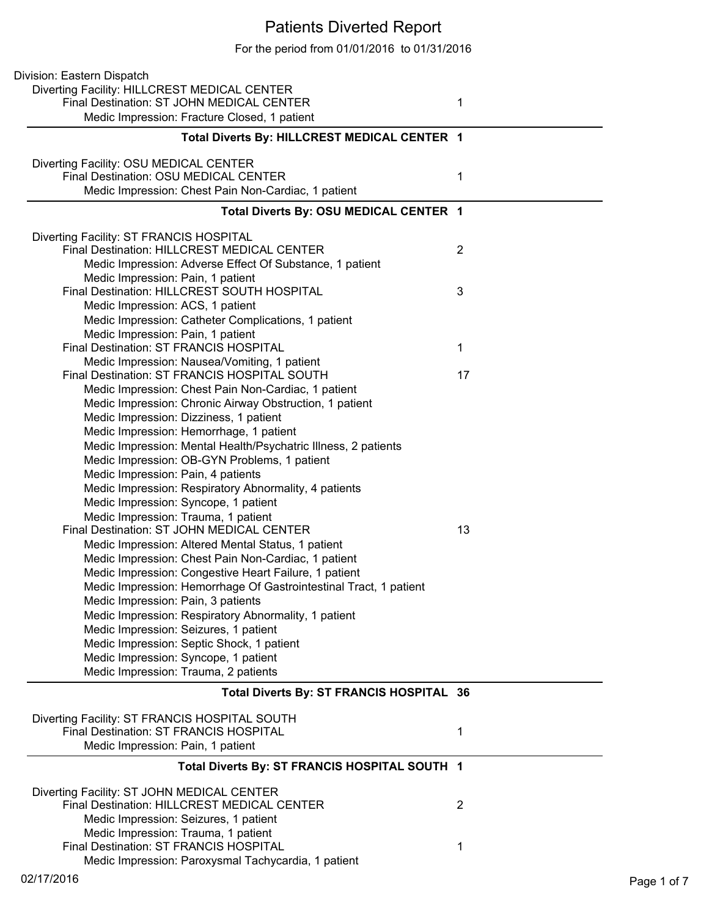## Patients Diverted Report

For the period from 01/01/2016 to 01/31/2016

| Division: Eastern Dispatch                                                               |                |
|------------------------------------------------------------------------------------------|----------------|
| Diverting Facility: HILLCREST MEDICAL CENTER                                             |                |
| Final Destination: ST JOHN MEDICAL CENTER                                                | 1              |
| Medic Impression: Fracture Closed, 1 patient                                             |                |
| Total Diverts By: HILLCREST MEDICAL CENTER 1                                             |                |
| Diverting Facility: OSU MEDICAL CENTER                                                   |                |
| Final Destination: OSU MEDICAL CENTER                                                    | 1              |
| Medic Impression: Chest Pain Non-Cardiac, 1 patient                                      |                |
| Total Diverts By: OSU MEDICAL CENTER 1                                                   |                |
| Diverting Facility: ST FRANCIS HOSPITAL                                                  |                |
| Final Destination: HILLCREST MEDICAL CENTER                                              | $\overline{2}$ |
| Medic Impression: Adverse Effect Of Substance, 1 patient                                 |                |
| Medic Impression: Pain, 1 patient<br>Final Destination: HILLCREST SOUTH HOSPITAL         | 3              |
| Medic Impression: ACS, 1 patient                                                         |                |
|                                                                                          |                |
| Medic Impression: Catheter Complications, 1 patient<br>Medic Impression: Pain, 1 patient |                |
| Final Destination: ST FRANCIS HOSPITAL                                                   | 1              |
| Medic Impression: Nausea/Vomiting, 1 patient                                             |                |
| Final Destination: ST FRANCIS HOSPITAL SOUTH                                             | 17             |
| Medic Impression: Chest Pain Non-Cardiac, 1 patient                                      |                |
| Medic Impression: Chronic Airway Obstruction, 1 patient                                  |                |
| Medic Impression: Dizziness, 1 patient                                                   |                |
| Medic Impression: Hemorrhage, 1 patient                                                  |                |
| Medic Impression: Mental Health/Psychatric Illness, 2 patients                           |                |
| Medic Impression: OB-GYN Problems, 1 patient                                             |                |
| Medic Impression: Pain, 4 patients                                                       |                |
| Medic Impression: Respiratory Abnormality, 4 patients                                    |                |
| Medic Impression: Syncope, 1 patient                                                     |                |
| Medic Impression: Trauma, 1 patient                                                      |                |
| Final Destination: ST JOHN MEDICAL CENTER                                                | 13             |
| Medic Impression: Altered Mental Status, 1 patient                                       |                |
| Medic Impression: Chest Pain Non-Cardiac, 1 patient                                      |                |
| Medic Impression: Congestive Heart Failure, 1 patient                                    |                |
| Medic Impression: Hemorrhage Of Gastrointestinal Tract, 1 patient                        |                |
| Medic Impression: Pain, 3 patients                                                       |                |
| Medic Impression: Respiratory Abnormality, 1 patient                                     |                |
| Medic Impression: Seizures, 1 patient                                                    |                |
| Medic Impression: Septic Shock, 1 patient                                                |                |
| Medic Impression: Syncope, 1 patient                                                     |                |
| Medic Impression: Trauma, 2 patients                                                     |                |
| Total Diverts By: ST FRANCIS HOSPITAL 36                                                 |                |
| Diverting Facility: ST FRANCIS HOSPITAL SOUTH                                            |                |
| <b>Final Destination: ST FRANCIS HOSPITAL</b>                                            | 1              |
| Medic Impression: Pain, 1 patient                                                        |                |
| Total Diverts By: ST FRANCIS HOSPITAL SOUTH 1                                            |                |
| Diverting Facility: ST JOHN MEDICAL CENTER                                               |                |
| Final Destination: HILLCREST MEDICAL CENTER                                              | 2              |
| Medic Impression: Seizures, 1 patient                                                    |                |
| Medic Impression: Trauma, 1 patient                                                      |                |
| Final Destination: ST FRANCIS HOSPITAL                                                   | 1              |
| Medic Impression: Paroxysmal Tachycardia, 1 patient                                      |                |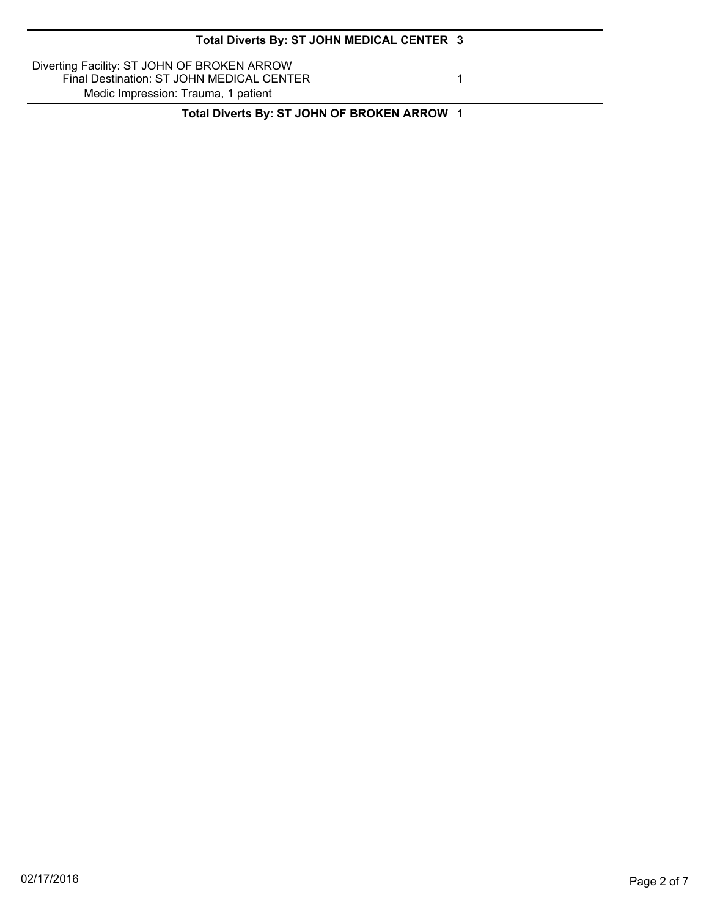| Total Diverts By: ST JOHN MEDICAL CENTER 3 |  |  |  |
|--------------------------------------------|--|--|--|
|--------------------------------------------|--|--|--|

Diverting Facility: ST JOHN OF BROKEN ARROW Final Destination: ST JOHN MEDICAL CENTER 1 Medic Impression: Trauma, 1 patient

**Total Diverts By: ST JOHN OF BROKEN ARROW 1**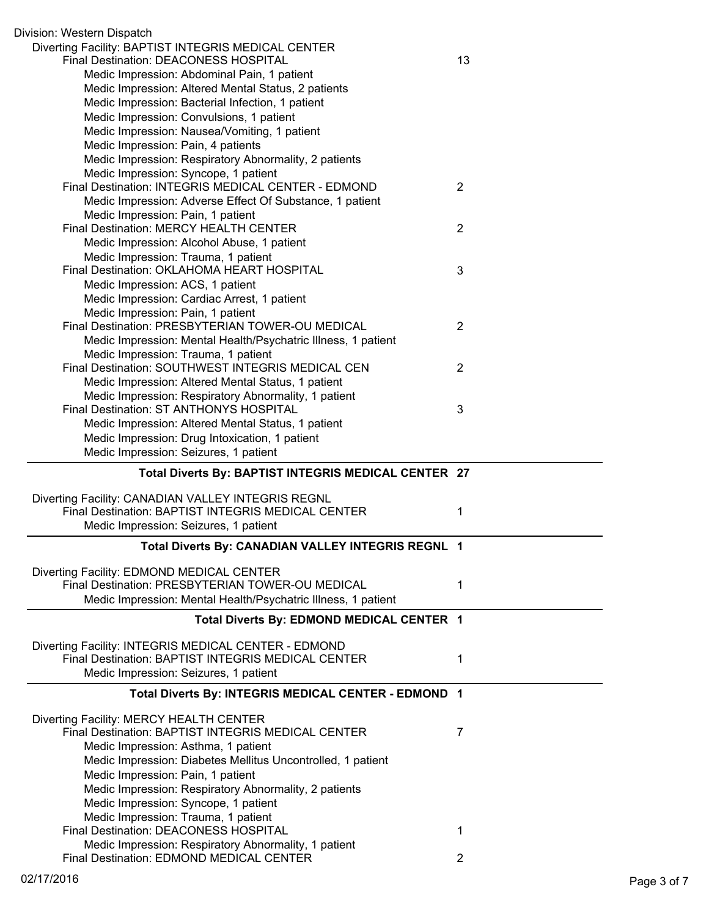| Division: Western Dispatch                                                                       |                |
|--------------------------------------------------------------------------------------------------|----------------|
| Diverting Facility: BAPTIST INTEGRIS MEDICAL CENTER<br>Final Destination: DEACONESS HOSPITAL     | 13             |
| Medic Impression: Abdominal Pain, 1 patient                                                      |                |
| Medic Impression: Altered Mental Status, 2 patients                                              |                |
| Medic Impression: Bacterial Infection, 1 patient                                                 |                |
| Medic Impression: Convulsions, 1 patient                                                         |                |
| Medic Impression: Nausea/Vomiting, 1 patient                                                     |                |
| Medic Impression: Pain, 4 patients                                                               |                |
| Medic Impression: Respiratory Abnormality, 2 patients                                            |                |
| Medic Impression: Syncope, 1 patient                                                             |                |
| Final Destination: INTEGRIS MEDICAL CENTER - EDMOND                                              | $\overline{2}$ |
| Medic Impression: Adverse Effect Of Substance, 1 patient                                         |                |
| Medic Impression: Pain, 1 patient                                                                |                |
| Final Destination: MERCY HEALTH CENTER                                                           | $\overline{2}$ |
| Medic Impression: Alcohol Abuse, 1 patient                                                       |                |
| Medic Impression: Trauma, 1 patient                                                              |                |
| Final Destination: OKLAHOMA HEART HOSPITAL                                                       | 3              |
| Medic Impression: ACS, 1 patient                                                                 |                |
| Medic Impression: Cardiac Arrest, 1 patient                                                      |                |
| Medic Impression: Pain, 1 patient                                                                |                |
| Final Destination: PRESBYTERIAN TOWER-OU MEDICAL                                                 | 2              |
| Medic Impression: Mental Health/Psychatric Illness, 1 patient                                    |                |
| Medic Impression: Trauma, 1 patient                                                              |                |
| Final Destination: SOUTHWEST INTEGRIS MEDICAL CEN                                                | 2              |
| Medic Impression: Altered Mental Status, 1 patient                                               |                |
| Medic Impression: Respiratory Abnormality, 1 patient                                             |                |
| Final Destination: ST ANTHONYS HOSPITAL                                                          | 3              |
| Medic Impression: Altered Mental Status, 1 patient                                               |                |
| Medic Impression: Drug Intoxication, 1 patient                                                   |                |
| Medic Impression: Seizures, 1 patient                                                            |                |
|                                                                                                  |                |
|                                                                                                  |                |
| Total Diverts By: BAPTIST INTEGRIS MEDICAL CENTER 27                                             |                |
|                                                                                                  |                |
| Diverting Facility: CANADIAN VALLEY INTEGRIS REGNL                                               |                |
| Final Destination: BAPTIST INTEGRIS MEDICAL CENTER                                               | 1              |
| Medic Impression: Seizures, 1 patient                                                            |                |
| Total Diverts By: CANADIAN VALLEY INTEGRIS REGNL 1                                               |                |
|                                                                                                  |                |
| Diverting Facility: EDMOND MEDICAL CENTER                                                        | 1              |
| Final Destination: PRESBYTERIAN TOWER-OU MEDICAL                                                 |                |
| Medic Impression: Mental Health/Psychatric Illness, 1 patient                                    |                |
| Total Diverts By: EDMOND MEDICAL CENTER 1                                                        |                |
|                                                                                                  |                |
| Diverting Facility: INTEGRIS MEDICAL CENTER - EDMOND                                             | 1              |
| Final Destination: BAPTIST INTEGRIS MEDICAL CENTER                                               |                |
| Medic Impression: Seizures, 1 patient                                                            |                |
| Total Diverts By: INTEGRIS MEDICAL CENTER - EDMOND 1                                             |                |
|                                                                                                  |                |
| Diverting Facility: MERCY HEALTH CENTER<br>Final Destination: BAPTIST INTEGRIS MEDICAL CENTER    | 7              |
| Medic Impression: Asthma, 1 patient                                                              |                |
| Medic Impression: Diabetes Mellitus Uncontrolled, 1 patient                                      |                |
| Medic Impression: Pain, 1 patient                                                                |                |
| Medic Impression: Respiratory Abnormality, 2 patients                                            |                |
| Medic Impression: Syncope, 1 patient                                                             |                |
| Medic Impression: Trauma, 1 patient                                                              |                |
| Final Destination: DEACONESS HOSPITAL                                                            | 1              |
| Medic Impression: Respiratory Abnormality, 1 patient<br>Final Destination: EDMOND MEDICAL CENTER |                |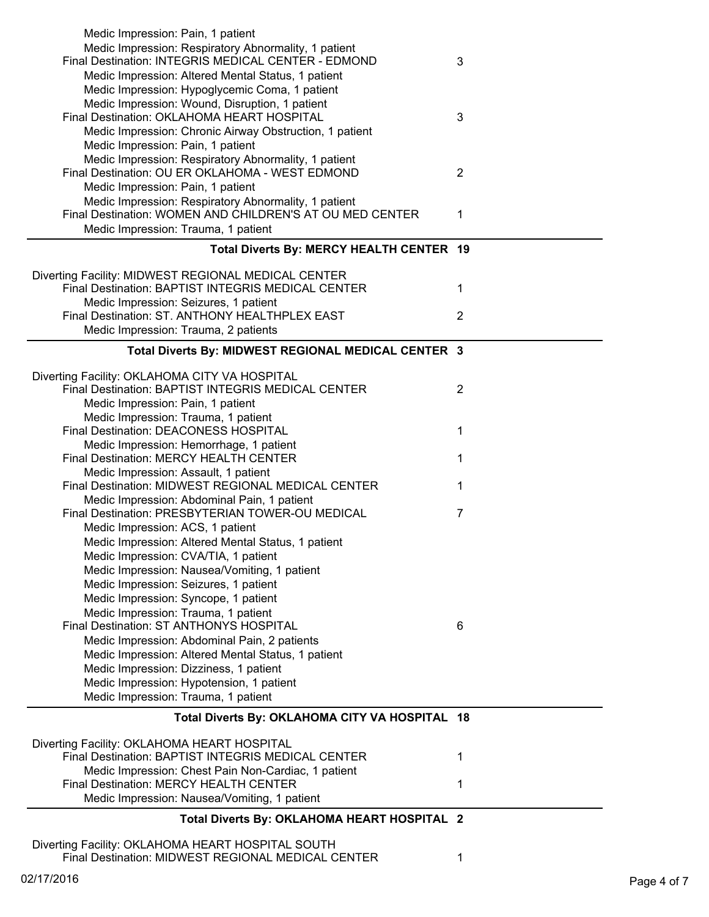| Medic Impression: Pain, 1 patient                                                                         |                |
|-----------------------------------------------------------------------------------------------------------|----------------|
| Medic Impression: Respiratory Abnormality, 1 patient                                                      |                |
| Final Destination: INTEGRIS MEDICAL CENTER - EDMOND                                                       | 3              |
| Medic Impression: Altered Mental Status, 1 patient                                                        |                |
| Medic Impression: Hypoglycemic Coma, 1 patient                                                            |                |
| Medic Impression: Wound, Disruption, 1 patient                                                            |                |
| Final Destination: OKLAHOMA HEART HOSPITAL                                                                | 3              |
| Medic Impression: Chronic Airway Obstruction, 1 patient                                                   |                |
| Medic Impression: Pain, 1 patient                                                                         |                |
| Medic Impression: Respiratory Abnormality, 1 patient                                                      |                |
| Final Destination: OU ER OKLAHOMA - WEST EDMOND                                                           | $\overline{2}$ |
| Medic Impression: Pain, 1 patient                                                                         |                |
| Medic Impression: Respiratory Abnormality, 1 patient                                                      |                |
| Final Destination: WOMEN AND CHILDREN'S AT OU MED CENTER                                                  | 1              |
| Medic Impression: Trauma, 1 patient                                                                       |                |
| Total Diverts By: MERCY HEALTH CENTER 19                                                                  |                |
|                                                                                                           |                |
| Diverting Facility: MIDWEST REGIONAL MEDICAL CENTER<br>Final Destination: BAPTIST INTEGRIS MEDICAL CENTER |                |
|                                                                                                           | 1              |
| Medic Impression: Seizures, 1 patient                                                                     |                |
| Final Destination: ST. ANTHONY HEALTHPLEX EAST                                                            | $\overline{2}$ |
| Medic Impression: Trauma, 2 patients                                                                      |                |
| Total Diverts By: MIDWEST REGIONAL MEDICAL CENTER 3                                                       |                |
|                                                                                                           |                |
| Diverting Facility: OKLAHOMA CITY VA HOSPITAL<br>Final Destination: BAPTIST INTEGRIS MEDICAL CENTER       | $\overline{2}$ |
| Medic Impression: Pain, 1 patient                                                                         |                |
| Medic Impression: Trauma, 1 patient                                                                       |                |
| Final Destination: DEACONESS HOSPITAL                                                                     | 1              |
| Medic Impression: Hemorrhage, 1 patient                                                                   |                |
| Final Destination: MERCY HEALTH CENTER                                                                    | 1              |
| Medic Impression: Assault, 1 patient                                                                      |                |
| Final Destination: MIDWEST REGIONAL MEDICAL CENTER                                                        | 1              |
| Medic Impression: Abdominal Pain, 1 patient                                                               |                |
| Final Destination: PRESBYTERIAN TOWER-OU MEDICAL                                                          | $\overline{7}$ |
| Medic Impression: ACS, 1 patient                                                                          |                |
| Medic Impression: Altered Mental Status, 1 patient                                                        |                |
| Medic Impression: CVA/TIA, 1 patient                                                                      |                |
| Medic Impression: Nausea/Vomiting, 1 patient                                                              |                |
| Medic Impression: Seizures, 1 patient                                                                     |                |
| Medic Impression: Syncope, 1 patient                                                                      |                |
| Medic Impression: Trauma, 1 patient                                                                       |                |
| Final Destination: ST ANTHONYS HOSPITAL                                                                   | 6              |
| Medic Impression: Abdominal Pain, 2 patients                                                              |                |
| Medic Impression: Altered Mental Status, 1 patient                                                        |                |
| Medic Impression: Dizziness, 1 patient                                                                    |                |
| Medic Impression: Hypotension, 1 patient                                                                  |                |
| Medic Impression: Trauma, 1 patient                                                                       |                |
| Total Diverts By: OKLAHOMA CITY VA HOSPITAL 18                                                            |                |
|                                                                                                           |                |
| Diverting Facility: OKLAHOMA HEART HOSPITAL                                                               |                |
| Final Destination: BAPTIST INTEGRIS MEDICAL CENTER                                                        |                |
| Medic Impression: Chest Pain Non-Cardiac, 1 patient                                                       | 1              |
| Final Destination: MERCY HEALTH CENTER                                                                    |                |
|                                                                                                           | 1              |
| Medic Impression: Nausea/Vomiting, 1 patient                                                              |                |
| Total Diverts By: OKLAHOMA HEART HOSPITAL 2                                                               |                |
|                                                                                                           |                |
| Diverting Facility: OKLAHOMA HEART HOSPITAL SOUTH<br>Final Destination: MIDWEST REGIONAL MEDICAL CENTER   | 1              |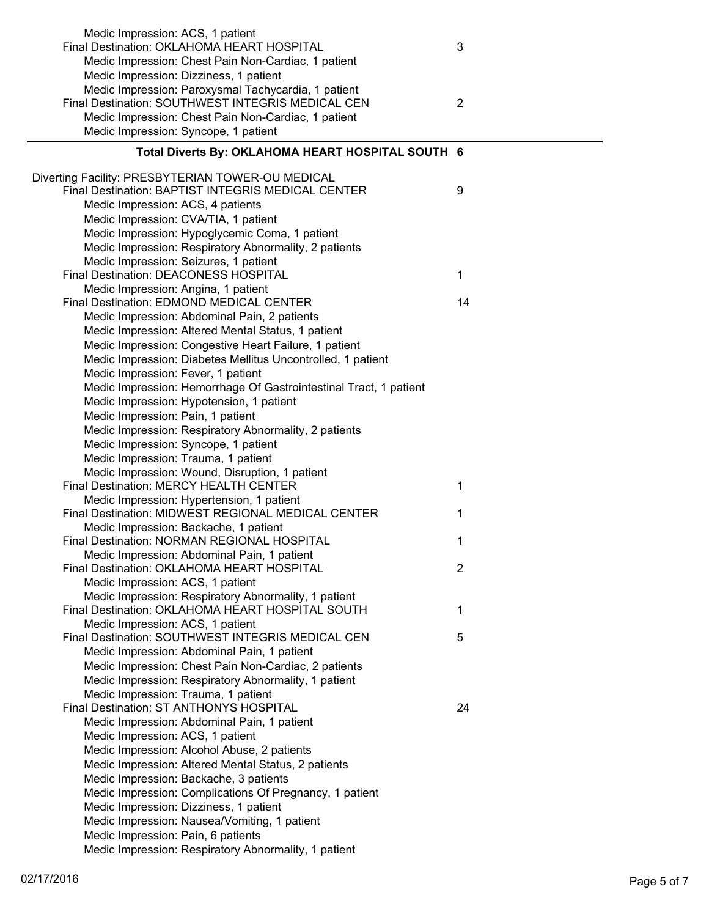| Medic Impression: ACS, 1 patient                                  |                |
|-------------------------------------------------------------------|----------------|
| Final Destination: OKLAHOMA HEART HOSPITAL                        | 3              |
| Medic Impression: Chest Pain Non-Cardiac, 1 patient               |                |
| Medic Impression: Dizziness, 1 patient                            |                |
| Medic Impression: Paroxysmal Tachycardia, 1 patient               |                |
| Final Destination: SOUTHWEST INTEGRIS MEDICAL CEN                 | $\overline{2}$ |
| Medic Impression: Chest Pain Non-Cardiac, 1 patient               |                |
| Medic Impression: Syncope, 1 patient                              |                |
| Total Diverts By: OKLAHOMA HEART HOSPITAL SOUTH 6                 |                |
|                                                                   |                |
| Diverting Facility: PRESBYTERIAN TOWER-OU MEDICAL                 |                |
| Final Destination: BAPTIST INTEGRIS MEDICAL CENTER                | 9              |
| Medic Impression: ACS, 4 patients                                 |                |
| Medic Impression: CVA/TIA, 1 patient                              |                |
| Medic Impression: Hypoglycemic Coma, 1 patient                    |                |
| Medic Impression: Respiratory Abnormality, 2 patients             |                |
| Medic Impression: Seizures, 1 patient                             |                |
| Final Destination: DEACONESS HOSPITAL                             | 1              |
| Medic Impression: Angina, 1 patient                               |                |
| Final Destination: EDMOND MEDICAL CENTER                          | 14             |
| Medic Impression: Abdominal Pain, 2 patients                      |                |
| Medic Impression: Altered Mental Status, 1 patient                |                |
| Medic Impression: Congestive Heart Failure, 1 patient             |                |
| Medic Impression: Diabetes Mellitus Uncontrolled, 1 patient       |                |
| Medic Impression: Fever, 1 patient                                |                |
| Medic Impression: Hemorrhage Of Gastrointestinal Tract, 1 patient |                |
| Medic Impression: Hypotension, 1 patient                          |                |
| Medic Impression: Pain, 1 patient                                 |                |
| Medic Impression: Respiratory Abnormality, 2 patients             |                |
| Medic Impression: Syncope, 1 patient                              |                |
| Medic Impression: Trauma, 1 patient                               |                |
| Medic Impression: Wound, Disruption, 1 patient                    |                |
| Final Destination: MERCY HEALTH CENTER                            | 1              |
| Medic Impression: Hypertension, 1 patient                         |                |
| Final Destination: MIDWEST REGIONAL MEDICAL CENTER                | 1              |
| Medic Impression: Backache, 1 patient                             |                |
| Final Destination: NORMAN REGIONAL HOSPITAL                       | 1              |
| Medic Impression: Abdominal Pain, 1 patient                       |                |
| Final Destination: OKLAHOMA HEART HOSPITAL                        | $\overline{2}$ |
| Medic Impression: ACS, 1 patient                                  |                |
| Medic Impression: Respiratory Abnormality, 1 patient              |                |
| Final Destination: OKLAHOMA HEART HOSPITAL SOUTH                  | 1              |
| Medic Impression: ACS, 1 patient                                  |                |
| Final Destination: SOUTHWEST INTEGRIS MEDICAL CEN                 | 5              |
| Medic Impression: Abdominal Pain, 1 patient                       |                |
| Medic Impression: Chest Pain Non-Cardiac, 2 patients              |                |
| Medic Impression: Respiratory Abnormality, 1 patient              |                |
| Medic Impression: Trauma, 1 patient                               |                |
| Final Destination: ST ANTHONYS HOSPITAL                           | 24             |
| Medic Impression: Abdominal Pain, 1 patient                       |                |
| Medic Impression: ACS, 1 patient                                  |                |
| Medic Impression: Alcohol Abuse, 2 patients                       |                |
| Medic Impression: Altered Mental Status, 2 patients               |                |
| Medic Impression: Backache, 3 patients                            |                |
| Medic Impression: Complications Of Pregnancy, 1 patient           |                |
| Medic Impression: Dizziness, 1 patient                            |                |
| Medic Impression: Nausea/Vomiting, 1 patient                      |                |
| Medic Impression: Pain, 6 patients                                |                |
| Medic Impression: Respiratory Abnormality, 1 patient              |                |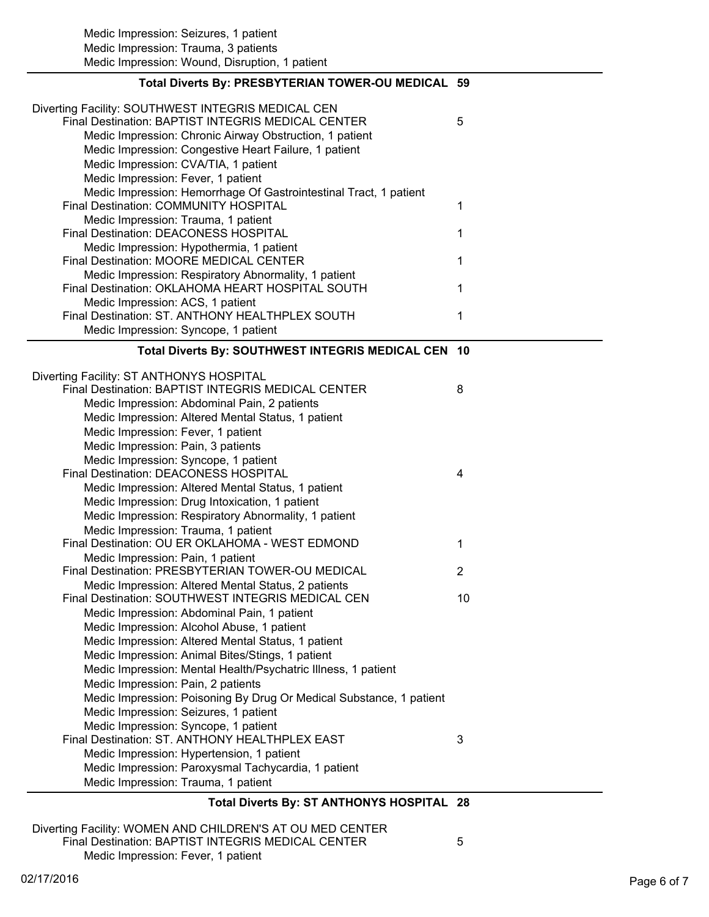| Total Diverts By: ST ANTHONYS HOSPITAL 28                                                                |                |
|----------------------------------------------------------------------------------------------------------|----------------|
|                                                                                                          |                |
| Medic Impression: Trauma, 1 patient                                                                      |                |
| Medic Impression: Paroxysmal Tachycardia, 1 patient                                                      |                |
| Medic Impression: Hypertension, 1 patient                                                                |                |
| Final Destination: ST. ANTHONY HEALTHPLEX EAST                                                           | 3              |
| Medic Impression: Syncope, 1 patient                                                                     |                |
| Medic Impression: Seizures, 1 patient                                                                    |                |
| Medic Impression: Poisoning By Drug Or Medical Substance, 1 patient                                      |                |
| Medic Impression: Pain, 2 patients                                                                       |                |
| Medic Impression: Mental Health/Psychatric Illness, 1 patient                                            |                |
| Medic Impression: Animal Bites/Stings, 1 patient                                                         |                |
| Medic Impression: Altered Mental Status, 1 patient                                                       |                |
| Medic Impression: Alcohol Abuse, 1 patient                                                               |                |
| Medic Impression: Abdominal Pain, 1 patient                                                              |                |
| Final Destination: SOUTHWEST INTEGRIS MEDICAL CEN                                                        | 10             |
| Medic Impression: Altered Mental Status, 2 patients                                                      |                |
| Final Destination: PRESBYTERIAN TOWER-OU MEDICAL                                                         | $\overline{2}$ |
| Medic Impression: Pain, 1 patient                                                                        |                |
| Final Destination: OU ER OKLAHOMA - WEST EDMOND                                                          | 1              |
| Medic Impression: Trauma, 1 patient                                                                      |                |
| Medic Impression: Respiratory Abnormality, 1 patient                                                     |                |
| Medic Impression: Drug Intoxication, 1 patient                                                           |                |
| Medic Impression: Altered Mental Status, 1 patient                                                       |                |
| Final Destination: DEACONESS HOSPITAL                                                                    | 4              |
| Medic Impression: Syncope, 1 patient                                                                     |                |
| Medic Impression: Pain, 3 patients                                                                       |                |
| Medic Impression: Fever, 1 patient                                                                       |                |
| Medic Impression: Altered Mental Status, 1 patient                                                       |                |
| Medic Impression: Abdominal Pain, 2 patients                                                             |                |
| Diverting Facility: ST ANTHONYS HOSPITAL<br>Final Destination: BAPTIST INTEGRIS MEDICAL CENTER           | 8              |
| Total Diverts By: SOUTHWEST INTEGRIS MEDICAL CEN 10                                                      |                |
| Medic Impression: Syncope, 1 patient                                                                     |                |
| Final Destination: ST. ANTHONY HEALTHPLEX SOUTH                                                          | 1              |
| Medic Impression: ACS, 1 patient                                                                         |                |
| Final Destination: OKLAHOMA HEART HOSPITAL SOUTH                                                         | 1              |
| Medic Impression: Respiratory Abnormality, 1 patient                                                     |                |
| Final Destination: MOORE MEDICAL CENTER                                                                  | 1              |
| Medic Impression: Hypothermia, 1 patient                                                                 |                |
| Final Destination: DEACONESS HOSPITAL                                                                    | 1              |
| Medic Impression: Trauma, 1 patient                                                                      |                |
| Final Destination: COMMUNITY HOSPITAL                                                                    | 1              |
| Medic Impression: Hemorrhage Of Gastrointestinal Tract, 1 patient                                        |                |
| Medic Impression: Fever, 1 patient                                                                       |                |
| Medic Impression: CVA/TIA, 1 patient                                                                     |                |
| Medic Impression: Congestive Heart Failure, 1 patient                                                    |                |
| Medic Impression: Chronic Airway Obstruction, 1 patient                                                  |                |
| Diverting Facility: SOUTHWEST INTEGRIS MEDICAL CEN<br>Final Destination: BAPTIST INTEGRIS MEDICAL CENTER | 5              |
|                                                                                                          |                |
| Total Diverts By: PRESBYTERIAN TOWER-OU MEDICAL 59                                                       |                |
| Medic Impression: Wound, Disruption, 1 patient                                                           |                |
| Medic Impression: Trauma, 3 patients                                                                     |                |
| Medic Impression: Seizures, 1 patient                                                                    |                |